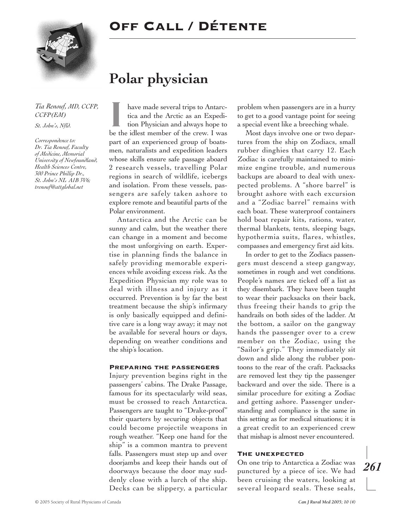## Off Call / Détente



### *Tia Renouf, MD, CCFP, CCFP(EM) St. John's, Nfld.*

*Correspondence to: Dr. Tia Renouf, Faculty of Medicine, Memorial University of Newfoundland, Health Sciences Centre, 300 Prince Phillip Dr., St. John's NL A1B 3V6;*

*trenouf@attglobal.net*

# **Polar physician**

I have made several trips to Antarc-<br>tica and the Arctic as an Expedi-<br>tion Physician and always hope to tica and the Arctic as an Expedition Physician and always hope to be the idlest member of the crew. I was part of an experienced group of boatsmen, naturalists and expedition leaders whose skills ensure safe passage aboard 2 research vessels, travelling Polar regions in search of wildlife, icebergs and isolation. From these vessels, passengers are safely taken ashore to explore remote and beautiful parts of the Polar environment.

Antarctica and the Arctic can be sunny and calm, but the weather there can change in a moment and become the most unforgiving on earth. Expertise in planning finds the balance in safely providing memorable experiences while avoiding excess risk. As the Expedition Physician my role was to deal with illness and injury as it occurred. Prevention is by far the best treatment because the ship's infirmary is only basically equipped and definitive care is a long way away; it may not be available for several hours or days, depending on weather conditions and the ship's location.

#### Preparing the passengers

Injury prevention begins right in the passengers' cabins. The Drake Passage, famous for its spectacularly wild seas, must be crossed to reach Antarctica. Passengers are taught to "Drake-proof" their quarters by securing objects that could become projectile weapons in rough weather. "Keep one hand for the ship" is a common mantra to prevent falls. Passengers must step up and over doorjambs and keep their hands out of doorways because the door may suddenly close with a lurch of the ship. Decks can be slippery, a particular

problem when passengers are in a hurry to get to a good vantage point for seeing a special event like a breeching whale.

Most days involve one or two departures from the ship on Zodiacs, small rubber dinghies that carry 12. Each Zodiac is carefully maintained to minimize engine trouble, and numerous backups are aboard to deal with unexpected problems. A "shore barrel" is brought ashore with each excursion and a "Zodiac barrel" remains with each boat. These waterproof containers hold boat repair kits, rations, water, thermal blankets, tents, sleeping bags, hypothermia suits, flares, whistles, compasses and emergency first aid kits.

In order to get to the Zodiacs passengers must descend a steep gangway, sometimes in rough and wet conditions. People's names are ticked off a list as they disembark. They have been taught to wear their packsacks on their back, thus freeing their hands to grip the handrails on both sides of the ladder. At the bottom, a sailor on the gangway hands the passenger over to a crew member on the Zodiac, using the "Sailor's grip." They immediately sit down and slide along the rubber pontoons to the rear of the craft. Packsacks are removed lest they tip the passenger backward and over the side. There is a similar procedure for exiting a Zodiac and getting ashore. Passenger understanding and compliance is the same in this setting as for medical situations; it is a great credit to an experienced crew that mishap is almost never encountered.

#### The unexpected

On one trip to Antarctica a Zodiac was punctured by a piece of ice. We had been cruising the waters, looking at several leopard seals. These seals,

*261*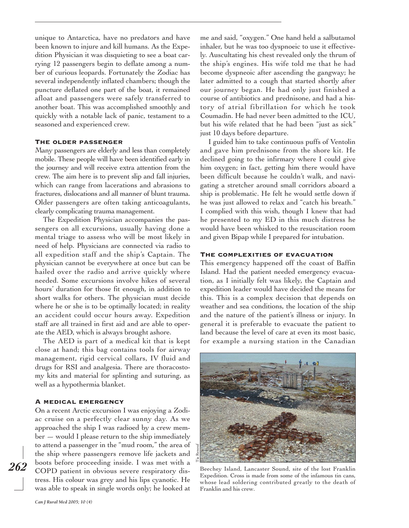unique to Antarctica, have no predators and have been known to injure and kill humans. As the Expedition Physician it was disquieting to see a boat carrying 12 passengers begin to deflate among a number of curious leopards. Fortunately the Zodiac has several independently inflated chambers; though the puncture deflated one part of the boat, it remained afloat and passengers were safely transferred to another boat. This was accomplished smoothly and quickly with a notable lack of panic, testament to a seasoned and experienced crew.

#### The older passenger

Many passengers are elderly and less than completely mobile. These people will have been identified early in the journey and will receive extra attention from the crew. The aim here is to prevent slip and fall injuries, which can range from lacerations and abrasions to fractures, dislocations and all manner of blunt trauma. Older passengers are often taking anticoagulants, clearly complicating trauma management.

The Expedition Physician accompanies the passengers on all excursions, usually having done a mental triage to assess who will be most likely in need of help. Physicians are connected via radio to all expedition staff and the ship's Captain. The physician cannot be everywhere at once but can be hailed over the radio and arrive quickly where needed. Some excursions involve hikes of several hours' duration for those fit enough, in addition to short walks for others. The physician must decide where he or she is to be optimally located; in reality an accident could occur hours away. Expedition staff are all trained in first aid and are able to operate the AED, which is always brought ashore.

The AED is part of a medical kit that is kept close at hand; this bag contains tools for airway management, rigid cervical collars, IV fluid and drugs for RSI and analgesia. There are thoracostomy kits and material for splinting and suturing, as well as a hypothermia blanket.

#### A medical emergency

On a recent Arctic excursion I was enjoying a Zodiac cruise on a perfectly clear sunny day. As we approached the ship I was radioed by a crew member — would I please return to the ship immediately to attend a passenger in the "mud room," the area of the ship where passengers remove life jackets and boots before proceeding inside. I was met with a COPD patient in obvious severe respiratory distress. His colour was grey and his lips cyanotic. He was able to speak in single words only; he looked at 262 boots before proceeding inside. I was met with a **Beechey Island, Lancaster Sound, site of the lost Franklin** 

me and said, "oxygen." One hand held a salbutamol inhaler, but he was too dyspnoeic to use it effectively. Auscultating his chest revealed only the thrum of the ship's engines. His wife told me that he had become dyspneoic after ascending the gangway; he later admitted to a cough that started shortly after our journey began. He had only just finished a course of antibiotics and prednisone, and had a history of atrial fibrillation for which he took Coumadin. He had never been admitted to the ICU, but his wife related that he had been "just as sick" just 10 days before departure.

I guided him to take continuous puffs of Ventolin and gave him prednisone from the shore kit. He declined going to the infirmary where I could give him oxygen; in fact, getting him there would have been difficult because he couldn't walk, and navigating a stretcher around small corridors aboard a ship is problematic. He felt he would settle down if he was just allowed to relax and "catch his breath." I complied with this wish, though I knew that had he presented to my ED in this much distress he would have been whisked to the resuscitation room and given Bipap while I prepared for intubation.

#### THE COMPLEXITIES OF EVACUATION

This emergency happened off the coast of Baffin Island. Had the patient needed emergency evacuation, as I initially felt was likely, the Captain and expedition leader would have decided the means for this. This is a complex decision that depends on weather and sea conditions, the location of the ship and the nature of the patient's illness or injury. In general it is preferable to evacuate the patient to land because the level of care at even its most basic, for example a nursing station in the Canadian



Expedition. Cross is made from some of the infamous tin cans, whose lead soldering contributed greatly to the death of Franklin and his crew.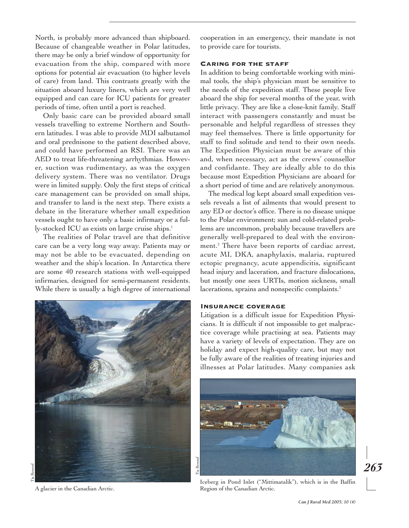North, is probably more advanced than shipboard. Because of changeable weather in Polar latitudes, there may be only a brief window of opportunity for evacuation from the ship, compared with more options for potential air evacuation (to higher levels of care) from land. This contrasts greatly with the situation aboard luxury liners, which are very well equipped and can care for ICU patients for greater periods of time, often until a port is reached.

Only basic care can be provided aboard small vessels travelling to extreme Northern and Southern latitudes. I was able to provide MDI salbutamol and oral prednisone to the patient described above, and could have performed an RSI. There was an AED to treat life-threatening arrhythmias. However, suction was rudimentary, as was the oxygen delivery system. There was no ventilator. Drugs were in limited supply. Only the first steps of critical care management can be provided on small ships, and transfer to land is the next step. There exists a debate in the literature whether small expedition vessels ought to have only a basic infirmary or a fully-stocked ICU as exists on large cruise ships.<sup>1</sup>

The realities of Polar travel are that definitive care can be a very long way away. Patients may or may not be able to be evacuated, depending on weather and the ship's location. In Antarctica there are some 40 research stations with well-equipped infirmaries, designed for semi-permanent residents. While there is usually a high degree of international



Tia Renouf

A glacier in the Canadian Arctic.

cooperation in an emergency, their mandate is not to provide care for tourists.

### Caring for the staff

In addition to being comfortable working with minimal tools, the ship's physician must be sensitive to the needs of the expedition staff. These people live aboard the ship for several months of the year, with little privacy. They are like a close-knit family. Staff interact with passengers constantly and must be personable and helpful regardless of stresses they may feel themselves. There is little opportunity for staff to find solitude and tend to their own needs. The Expedition Physician must be aware of this and, when necessary, act as the crews' counsellor and confidante. They are ideally able to do this because most Expedition Physicians are aboard for a short period of time and are relatively anonymous.

The medical log kept aboard small expedition vessels reveals a list of ailments that would present to any ED or doctor's office. There is no disease unique to the Polar environment; sun and cold-related problems are uncommon, probably because travellers are generally well-prepared to deal with the environment.<sup>2</sup> There have been reports of cardiac arrest, acute MI, DKA, anaphylaxis, malaria, ruptured ectopic pregnancy, acute appendicitis, significant head injury and laceration, and fracture dislocations, but mostly one sees URTIs, motion sickness, small lacerations, sprains and nonspecific complaints.<sup>3</sup>

#### Insurance coverage

Litigation is a difficult issue for Expedition Physicians. It is difficult if not impossible to get malpractice coverage while practising at sea. Patients may have a variety of levels of expectation. They are on holiday and expect high-quality care, but may not be fully aware of the realities of treating injuries and illnesses at Polar latitudes. Many companies ask



*263*

Iceberg in Pond Inlet ("Mittimatalik"), which is in the Baffin Region of the Canadian Arctic.